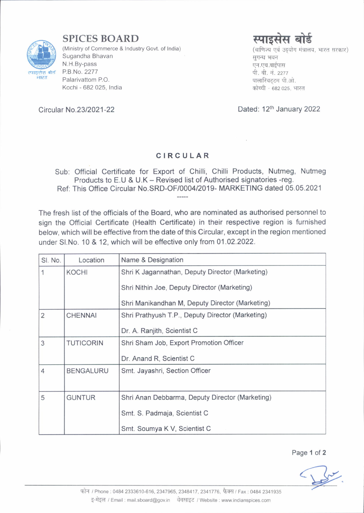

SPICES BOARD

(Ministry of Commerce & Industry Govt. of India) Sugandha Bhavan N.H.By-pass P.B.No.2277 Palarivattom P.O. Kochi - 682 025, India



(वाणिज्य एवं उदयोग मंत्रालय, भारत सरकार) सुगन्ध भवन एन.एच.बाईपास पी. बी. नं. 2277<br>पालारिवटटम पी.ओ. कोच्ची - 682 025, भारत

Dated: 12<sup>th</sup> January 2022

Circu lar No.2312021 -22

## CIRCULAR

Sub: Official Certificate for Export of Chilli, Chilli Products, Nutmeg, Nutmeg Products to E.U & U.K - Revised list of Authorised signatories -reg. Ref: This Office Circular No.SRD-OF/000412019- MARKETING dated 05.05.2021

The fresh list of the officials of the Board, who are nominated as authorised personnel to sign the Official Certificate (Health Certificate) in their respective region is furnished below, which will be effective from the date of this Circular, except in the region mentioned under Sl.No. 10 & 12, which will be effective only from 01.02.2022.

| SI. No.        | Location         | Name & Designation                               |
|----------------|------------------|--------------------------------------------------|
| 1              | <b>KOCHI</b>     | Shri K Jagannathan, Deputy Director (Marketing)  |
|                |                  | Shri Nithin Joe, Deputy Director (Marketing)     |
|                |                  | Shri Manikandhan M, Deputy Director (Marketing)  |
| $\overline{2}$ | <b>CHENNAI</b>   | Shri Prathyush T.P., Deputy Director (Marketing) |
|                |                  | Dr. A. Ranjith, Scientist C                      |
| 3              | <b>TUTICORIN</b> | Shri Sham Job, Export Promotion Officer          |
|                |                  | Dr. Anand R, Scientist C                         |
| $\overline{4}$ | <b>BENGALURU</b> | Smt. Jayashri, Section Officer                   |
|                |                  |                                                  |
| 5              | <b>GUNTUR</b>    | Shri Anan Debbarma, Deputy Director (Marketing)  |
|                |                  | Smt. S. Padmaja, Scientist C.                    |
|                |                  | Smt. Soumya K V, Scientist C                     |

Page 1 of 2